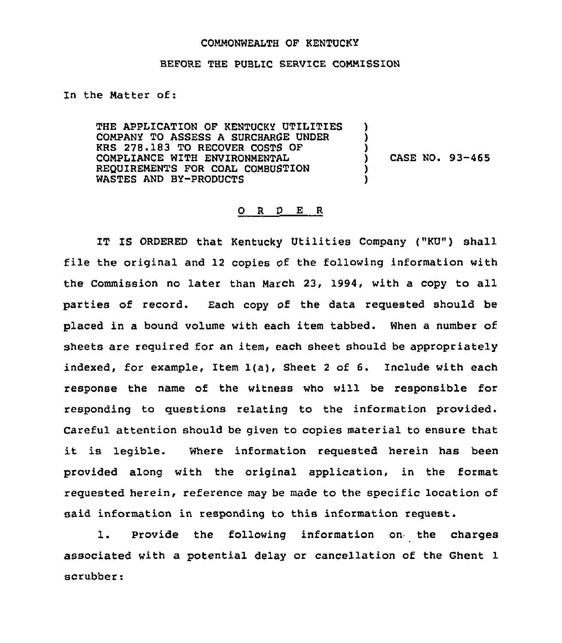## COMMONWEALTH OF KENTUCKY

## BEFORE THE PUBLIC SERVICE COMMISSION

In the Matter of:

THE APPLICATION OF KENTUCKY UTILITIES COMPANY TO ASSESS A SURCHARGE UNDER KRS 278.183 TO RECOVER COSTS OF COMPLIANCE WITH ENVIRONMENTAL REQUIREMENTS FOR COAL COMBUSTION WASTES AND BY-PRODUCTS ) ) ) ) )

) CASE NO. 93-465

## 0 <sup>R</sup> <sup>D</sup> E <sup>R</sup>

IT IS ORDERED that Kentucky Utilities Company ("KU") shall file the original and 12 copies of the following information with the Commission no later than March 23, 1994, with a copy to all parties of record. Each copy of the data requested should be placed in a bound volume with each item tabbed. When a number of sheets are required for an item, each sheet should be appropriately indexed, for example, Item 1(a), Sheet <sup>2</sup> of 6. Include with each response the name of the witness who will be responsible for responding to questions relating to the information provided. Careful attention should be given to copies material to ensure that it is legible. Where information requested herein has been provided along with the original application, in the format requested herein, reference may be made to the specific location of said information in responding to this information request.

1. Provide the following information on the charges associated with a potential delay or cancellation of the Ghent 1 scrubber: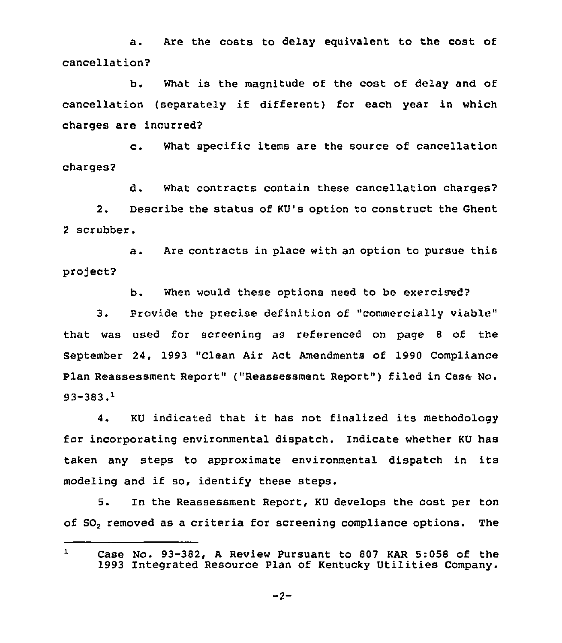a. are the costs to delay equivalent to the cost of cancellation?

b. What is the magnitude of the cost of delay and of cancellation (separately if different) for each year in which charges are incurred?

c. What specific items are the source of cancellation charges?

d. What contracts contain these cancellation charges? 2. Describe the status of KU's option to construct the Ghent 2 scrubber.

a. Are contracts in place with an option to pursue this project?

b. When would these options need to be exercised'?

3. Provide the precise definition of "commercially viable" that was used for screening as referenced on page 8 of the September 24, 1993 "Clean Air Act Amendments of 1990 Compliance Plan Reassessment Report" ("Reassessment Report" ) filed in Case No.  $93 - 383.1$ 

4. KU indicated that it has not finalized its methodology for incorporating environmental dispatch. Indicate whether KU has taken any steps to approximate environmental dispatch in its modeling and if so, identify these steps.

5. In the Reassessment Report, KU develops the cost per ton of SO, removed as a criteria for screening compliance options. The

 $\mathbf{1}$ Case No. 93-382, <sup>A</sup> Review Pursuant to 807 KAR 5:058 of the 1993 Integrated Resource Plan of Kentucky Utilities Company.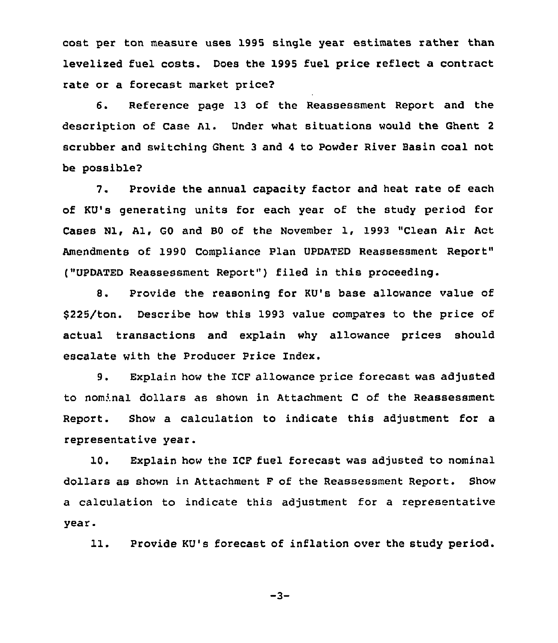cost per ton measure uses 1995 single year estimates rather than levelized fuel costs. Does the 1995 fuel price reflect a contract rate or a forecast market price2

6. Reference page 13 of the Reassessment Report and the description of Case Al. Under what situations would the Ghent <sup>2</sup> scrubber and switching Ghent <sup>3</sup> and <sup>4</sup> to Powder River Basin coal not be possible?

7. Provide the annual capacity factor and heat rate of each of KU's generating units for each year of the study period for Cases N1, A1, GO and BO of the November 1, 1993 "Clean Air Act Amendments of 1990 Compliance Plan UPDATED Reassessment Report" ("UPDATED Reassessment Report" ) filed in this proceeding.

8. Provide the reasoning for KU's base allowance value of 5225/ton. Describe how this 1993 value compares to the price of actual transactions and explain why allowance prices should escalate with the Producer Price Index.

9. Explain how the ICF allowance price forecast was adjusted to nominal dollars as shown in Attachment <sup>C</sup> of the Reassessment Report. Show a calculation to indicate this adjustment for a representative year.

10. Explain how the ICF fuel forecast was adjusted to nominal dollars as shown in Attachment F of the Reassessment Report. Show a calculation to indicate this adjustment for a representative year.

11. Provide KU's forecast of inflation over the study period.

 $-3-$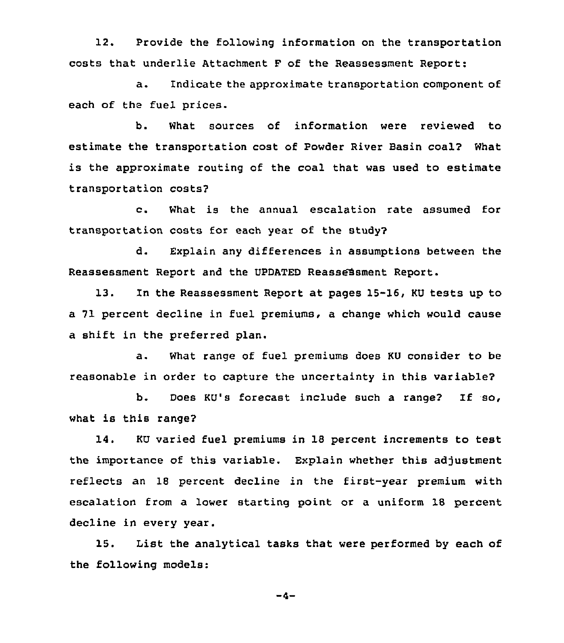12. Provide the following information on the transportation costs that underlie Attachment F of the Reassessment Report:

a. 1ndicate the approximate transportation component of each of the fuel prices.

b. What sources of information were reviewed to estimate the transportation cost of Powder River Basin coal? What is the approximate routing of the coal that was used to estimate transportation costs?

c. What is the annual escalation rate assumed for transportation costs for each year of the study?

d. Explain any differences in assumptions between the Reassessment Report and the UPDATED Reassessment Report.

13. In the Reassessment Report at pages 15-16, KU tests up to a 71 percent decline in fuel premiums, a change which would cause a shift in the preferred plan.

a. What range of fuel premiums does KU consider to be reasonable in order to capture the uncertainty in this variable?

b. Does KU's forecast include such a range? If so, what is this range?

14. KU varied fuel premiums in 18 percent increments to test the importance of this variable. Explain whether this adjustment reflects an 18 percent decline in the first-year premium with escalation from a lower starting point or a uniform 18 percent decline in every year.

15. List the analytical tasks that were performed by each of the following models:

 $-4-$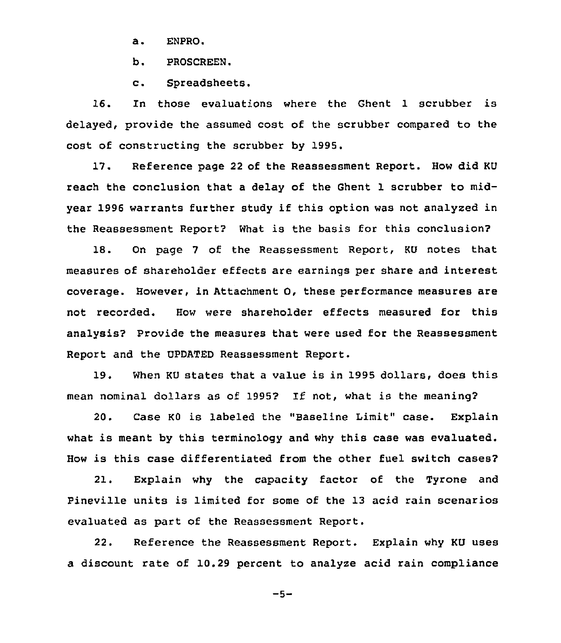a. ENPRO.

b. PROSCREEN.

c. Spreadsheets.

16. In those evaluations where the Ghent 1 scrubber is delayed, provide the assumed cost of the scrubber compared to the cost of constructing the scrubber by 1995.

17. Reference page <sup>22</sup> of the Reassessment Report. How did KU reach the conclusion that a delay of the Ghent 1 scrubber to midyear 1996 warrants further study if this option was not analyzed in the Reassessment Report? What is the basis for this conclusion?

18. On page 7 of the Reassessment Report, KU notes that measures of shareholder effects are earnings per share and interest coverage. However, in Attachment 0, these performance measures are not recorded. How were shareholder effects measured for this analysis? Provide the measures that were used for the Reassessment Report and the UPDATED Reassessment Report.

19. When KU states that <sup>a</sup> value is in 1995 dollars, does this mean nominal dollars as of 1995? If not, what is the meaning?

20. Case KO is labeled the "Baseline Limit" case. Explain what is meant by this terminology and why this case was evaluated. How is this case differentiated from the other fuel switch cases?

21. Explain why the capacity factor of the Tyrone and Pineville units is limited for some of the 13 acid rain scenarios evaluated as part of the Reassessment Report.

22. Reference the Reassessment Report. Explain why KU uses a discount rate of 10.29 percent to analyze acid rain compliance

 $-5-$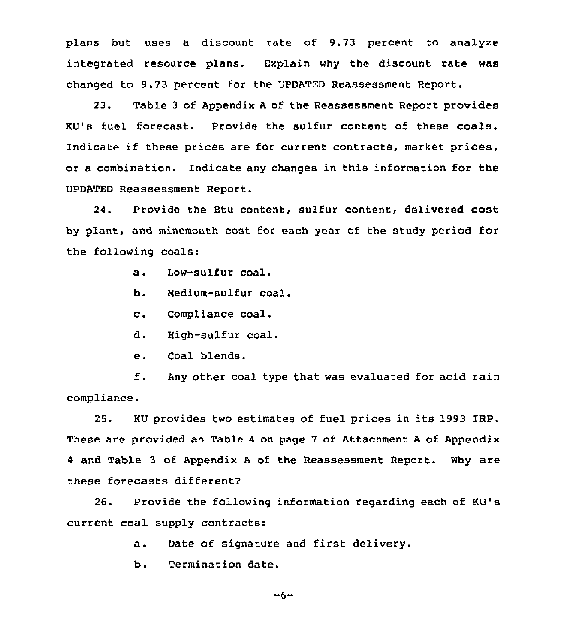plans but uses a discount rate of 9.73 percent to analyze integrated resource plans. Explain why the discount rate was changed to 9.73 percent for the UPDATED Reassessment Report.

23. Table <sup>3</sup> of Appendix <sup>A</sup> of the Reassessment Report provides KU's fuel forecast. Provide the sulfur content of these coals. Indicate if these prices are for current contracts, market prices, or a combination. Indicate any changes in this information for the UPDATED Reassessment Report.

24. Provide the Btu content, sulfur content, delivered cost by plant, and minemouth cost for each year of the study period for the following coals:

- a. Low-sulfur coal.
- b. Medium-sulfur coal.
- c. Compliance coal.
- d. High-sulfur coal.
- e. Coal blends.

f. Any other coal type that was evaluated for acid rain compliance.

25. KU provides two estimates of fuel prices in its 1993 IRP. These are provided as Table 4 on page 7 of Attachment A of Appendix <sup>4</sup> and Table 3 of Appendix <sup>A</sup> of the Reassessment Report. Why are these forecasts different?

26. Provide the following information regarding each of KU's current coal supply contracts:

a. Date of signature and first delivery.

b. Termination date.

$$
-6 -
$$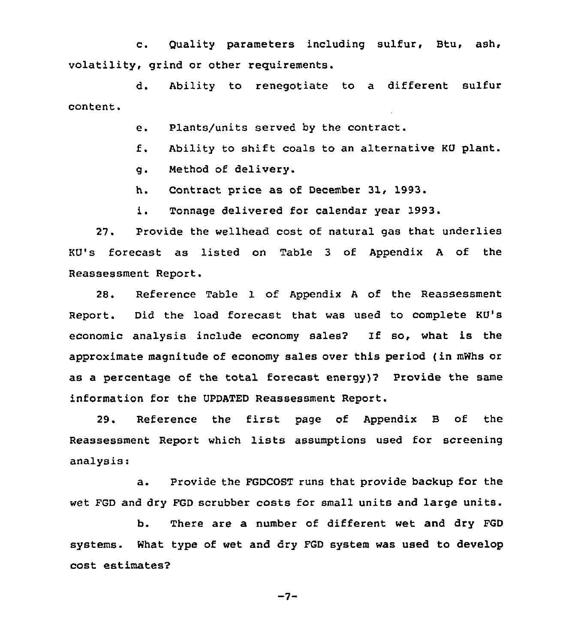c. Quality parameters including sulfur, Btu, ash, volatility, grind or other reguirements.

d. Ability to renegotiate to a different sulfur content.

e. Plants/units served by the contract.

- f. Ability to shift coals to an alternative KU plant.
- g. Method of delivery.

h. Contract price as of December 31, 1993.

i. Tonnage delivered for calendar year 1993.

27. Provide the wellhead cost of natural gas that underlies KV's forecast as listed on Table 3 of Appendix <sup>A</sup> of the Reassessment Report.

28. Reference Table 1 of Appendix <sup>A</sup> of the Reassessment Report. Did the load forecast that was used to complete KU's economic analysis include economy sales? Zf so, what is the approximate magnitude of economy sales over this period (in mWhs or as a percentage of the total forecast energy)? Provide the same information for the UPDATED Reassessment Report.

29. Reference the first page of Appendix B of the Reassessment Report which lists assumptions used for screening analysis:

a. Provide the FGDCOST runs that provide backup for the wet FGD and dry FGD scrubber costs for small units and large units.

b. There are a number of different wet and dry FGD systems. What type of wet and dry FGD system was used to develop cost estimates2

 $-7-$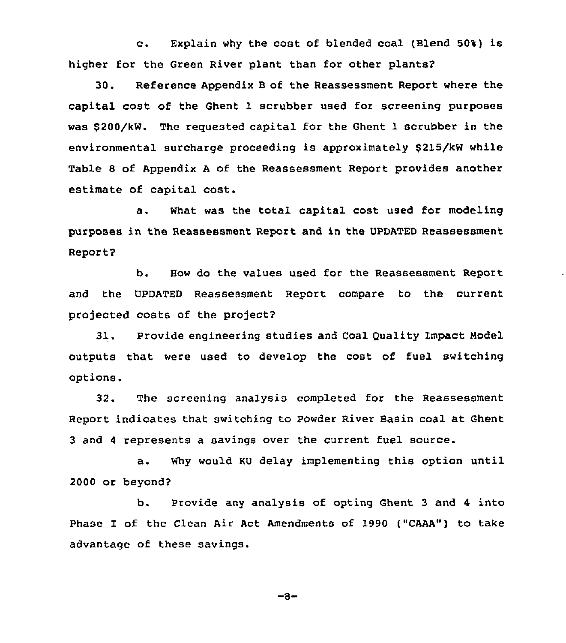c. Explain why the cost of blended coal (Blend 50%) is higher for the Green River plant than for other plants?

30. Reference Appendix B of the Reassessment Report where the capital cost of the Ghent 1 scrubber used for screening purposes was \$200/kW. The requested capital for the Ghent 1 scrubber in the environmental surcharge proceeding is approximately \$215/kW while Table 8 of Appendix <sup>A</sup> of the Reassessment Report provides another estimate of capital cost.

a. What was the total capital cost used for modeling purposes in the Reassessment Report and in the UPDATED Reassessment Report?

b. How do the values used for the Reassessment Report and the UPDATED Reassessment Report compare to the current projected costs of the project?

31. Provide engineering studies and Coal Ouality Impact Model outputs that were used to develop the cost of fuel switching options.

32. The screening analysis completed for the Reassessment Report indicates that switching to Powder River Basin coal at Ghent 3 and <sup>4</sup> represents a savings over the current fuel source.

a. Why would KU delay implementing this option until 2000 or beyond?

b. Provide any analysis of opting Ghent 3 and <sup>4</sup> into Phase I of the Clean Air Act Amendments of 1990 ("CAAA") to take advantage of these savings.

 $-8-$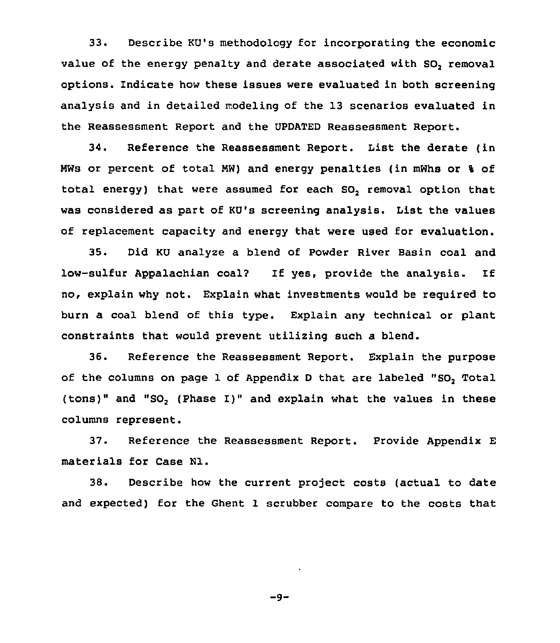33. Describe KU's methodology for incorporating the economic value of the energy penalty and derate associated with SO, removal options. indicate how these issues were evaluated in both screening analysis and in detailed modeling of the 13 scenarios evaluated in the Reassessment Report and the UPDATED Reassessment Report.

34. Reference the Reassessment Report. List the derate (in MWs or percent of total NW) and energy penalties (in mWhs or % of total energy) that were assumed for each SO<sub>2</sub> removal option that was considered as part of KU's screening analysis. List the values of replacement capacity and energy that were used for evaluation.

35. Did KU analyze a blend of Powder River Basin coal and low-sulfur Appalachian coa12 If yes, provide the analysis. If no, explain why not. Explain what investments would be required to burn a coal blend of this type. Explain any technical or plant constraints that would prevent utilizing such a blend.

36. Reference the Reassessment Report. Explain the purpose of the columns on page 1 of Appendix <sup>D</sup> that are labeled "SO, Total (tons)" and "SO<sub>2</sub> (Phase I)" and explain what the values in these columns represent.

37. Reference the Reassessment Report. Provide Appendix E materials for Case Hl.

38. Describe how the current project costs (actual to date and expected) for the Ghent 1 scrubber compare to the costs that

$$
-9-
$$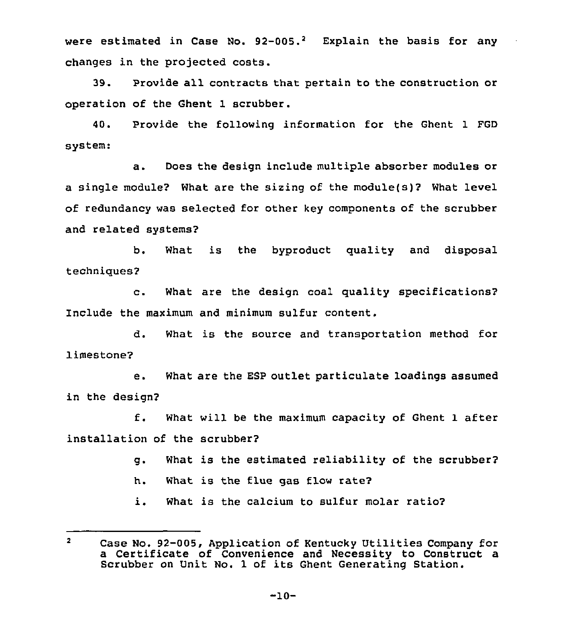were estimated in Case No.  $92-005$ .<sup>2</sup> Explain the basis for any changes in the projected costs.

39. Provide all contracts that pertain to the construction or operation of the Ghent 1 scrubber.

40. Provide the following information for the Ghent 1 FGD system:

a. Does the design include multiple absorber modules or a single module? What are the sizing of the module(s)2 What level of redundancy was selected for other key components of the scrubber and related systems?

b. What is the byproduct quality and disposal techniques?

c. What are the design coal quality specifications? Include the maximum and minimum sulfur content.

d. What is the source and transportation method for limestone?

e. What are the ESP outlet particulate loadings assumed in the design2

f. What will be the maximum capacity of Ghent <sup>1</sup> after installation of the scrubber?

- g. What is the estimated reliability of the scrubber2
- h. What is the flue gas flow rate?
- i. What is the calcium to sulfur molar ratio2

 $\overline{2}$ Case No. 92-005, Application of Kentucky Utilities Company for a Certificate of Convenience and Necessity to Construct a Scrubber on Unit No. 1 of its Ghent Generating Station.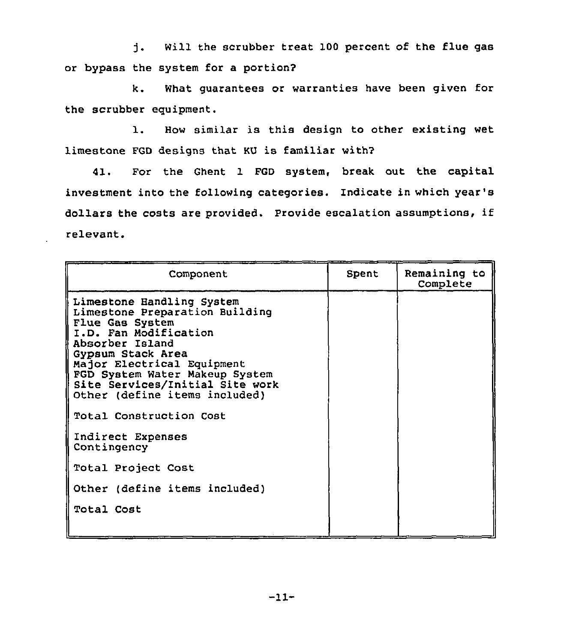Will the scrubber treat 100 percent of the flue gas j. or bypass the system for a portion?

k. What guarantees or warranties have been given for the scrubber equipment.

1. How similar is this design to other existing wet limestone FGD designs that KU is familiar withy

41. For the Ghent 1 FGD system, break out the capital investment into the following categories. Indicate in which year' dollars the costs are provided. Provide escalation assumptions, if relevant.

| Component                                                                                                                                                                                                                                                                                                                           | Spent | Remaining to<br>Complete |
|-------------------------------------------------------------------------------------------------------------------------------------------------------------------------------------------------------------------------------------------------------------------------------------------------------------------------------------|-------|--------------------------|
| Limestone Handling System<br>Limestone Preparation Building<br>Flue Gas System<br>I.D. Fan Modification<br>Absorber Island<br>Gypsum Stack Area<br>Major Electrical Equipment<br>FGD System Water Makeup System<br>Site Services/Initial Site work<br>Other (define items included)<br>Total Construction Cost<br>Indirect Expenses |       |                          |
| Contingency                                                                                                                                                                                                                                                                                                                         |       |                          |
| Total Project Cost                                                                                                                                                                                                                                                                                                                  |       |                          |
| Other (define items included)                                                                                                                                                                                                                                                                                                       |       |                          |
| Total Cost                                                                                                                                                                                                                                                                                                                          |       |                          |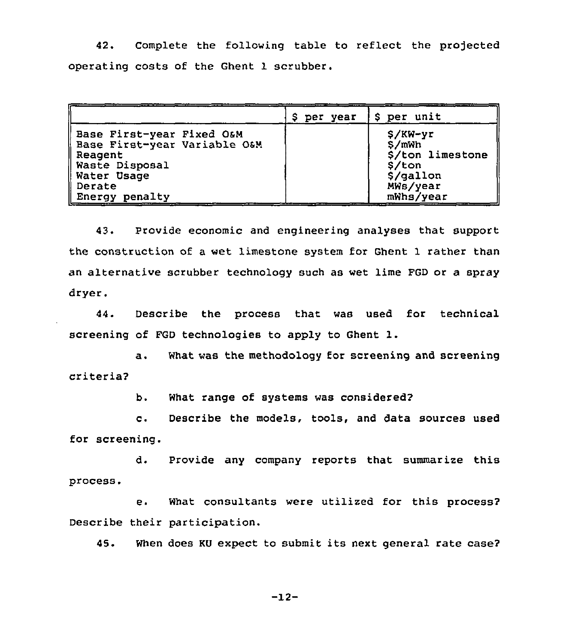42. Complete the following table to reflect the projected operating costs of the Ghent 1 scrubber.

|                                                                                                                                         | \$ per year | <b>S</b> per unit                                                                      |
|-----------------------------------------------------------------------------------------------------------------------------------------|-------------|----------------------------------------------------------------------------------------|
| Base First-year Fixed O&M<br>Base First-year Variable O&M<br>Reagent<br>Waste Disposal<br>Water Usage   <br>   Derate<br>Energy penalty |             | $$/KN-yr$<br>S/mWh<br>\$/ton limestone<br>\$/ton<br>\$/gallon<br>MWs/year<br>mWhs/year |

43. Provide economic and engineering analyses that support the construction of a wet limestone system for Ghent 1 rather than an alternative scrubber technology such as wet lime FGD or a spray dryer.

44. Describe the process that was used for technical screening of FGD technologies to apply to Ghent 1.

a. What was the methodology for screening and screening criteria?

b. What range of systems was considered?

c. Describe the models, tools, and data sources used for screening.

d. Provide any company reports that summarize this process.

e. What consultants were utilized for this process? Describe their participation.

45. When does KU expect to submit its next general rate case?

-12-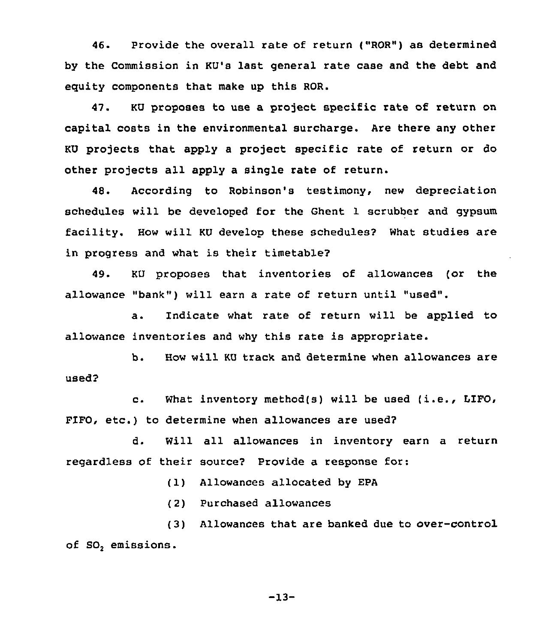46. Provide the overall rate of return ("ROR") as determined by the Commission in KU's last general rate case and the debt and equity components that make up this ROR.

47. KU proposes to use a project specific rate of return on capital costs in the environmental surcharge. Are there any other KU projects that apply a project specific rate of return or do other projects all apply a single rate of return.

48. According to Robinson's testimony, new depreciation schedules will be developed for the Ghent 1 scrubber and gypsum facility. How will KU develop these schedules? What studies are in progress and what is their timetable?

49. KU proposes that inventories of allowances (or the allowance "bank") will earn a rate of return until "used".

a. Indicate what rate of return will be applied to allowance inventories and why this rate is appropriate.

b. How will KU track and determine when allowances are used?

c. What inventory method(s) will be used (i.e., LIFO, FIFO, etc.) to determine when allowances are used?

d. Will all allowances in inventory earn a return regardless of their source? Provide a response for:

(1) Allowances allocated by EPA

(2) Purchased allowances

(3) Allowances that are banked due to over-control of SO, emissions.

-13-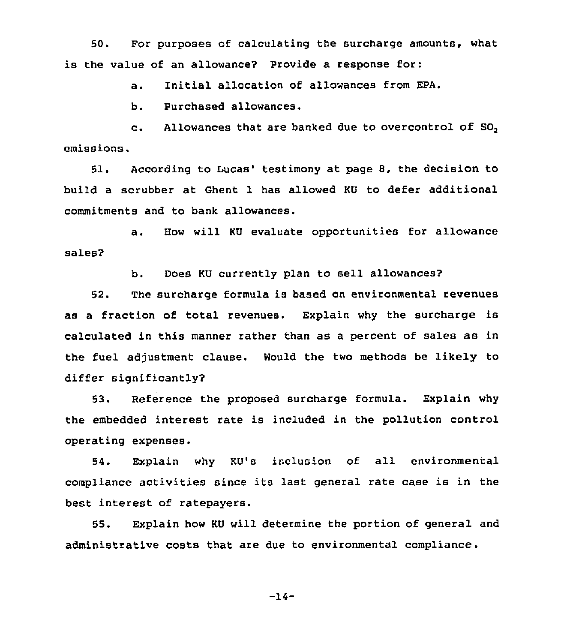50. For purposes of calculating the surcharge amounts, what is the value of an allowance? Provide a response for:

a. Initial allocation of allowances from EPA.

b. Purchased allowances.

c. Allowances that are banked due to overcontrol of SO, emissions.

51. According to Lucas' testimony at page 8, the decision to build a scrubber at Ghent 1 has allowed KU to defer additional commitments and to bank allowances.

a. How will KU evaluate opportunities for allowance sales?

b. Does KU currently plan to sell allowances?

52. The surcharge formula is based on environmental revenues as a fraction of total revenues. Explain why the surcharge is calculated in this manner rather than as a percent of sales as in the fuel adjustment clause. Would the two methods be likely to differ significantly?

53. Reference the proposed surcharge formula. Explain why the embedded interest rate is included in the pollution control operating expenses.

54. Explain why KU's inclusion of all environmental compliance activities since its last general rate case is in the best interest of ratepayers.

55. Explain how KU will determine the portion of general and administrative costs that are due to environmental compliance .

-14-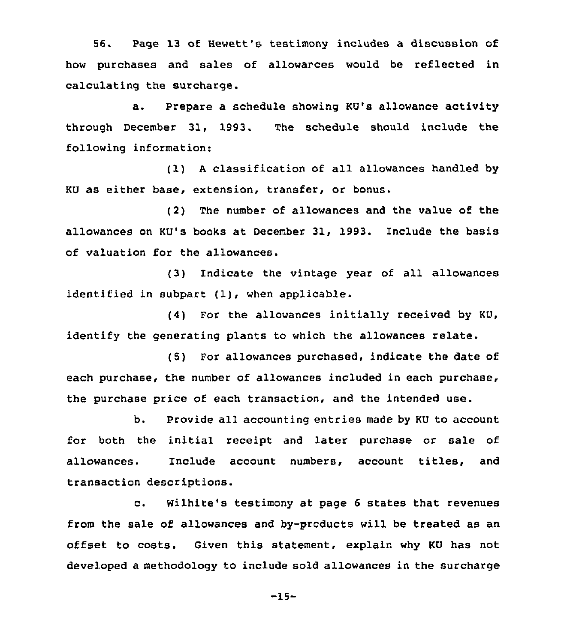56. Page 13 of Hewett's testimony includes a discussion of how purchases and sales of allowarces would be reflected in calculating the surcharge.

a. Prepare a schedule showing KU's allowance activity through December 31, 1993. The schedule should include the following information:

(1) <sup>A</sup> classification of all allowances handled by KU as either base, extension, transfer, or bonus.

(2) The number of allowances and the value of the allowances on KU's books at December 31, 1993. Include the basis of valuation for the allowances.

(3) Indicate the vintage year of all allowances identified in subpart (1), when applicable.

 $(4)$  For the allowances initially received by KU, identify the generating plants to which the allowances relate.

(5) For allowances purchased, indicate the date of each purchase, the number of allowances included in each purchase, the purchase price of each transaction, and the intended use.

b. Provide all accounting entries made by KU to account for both the initial receipt and later purchase or sale of allowances. Include account numbers, account titles, and transaction descriptions.

c. Wilhite's testimony at page <sup>6</sup> states that revenues from the sale of allowances and by-products will be treated as an offset to costs. Given this statement, explain why KU has not developed a methodology to include sold allowances in the surcharge

-15-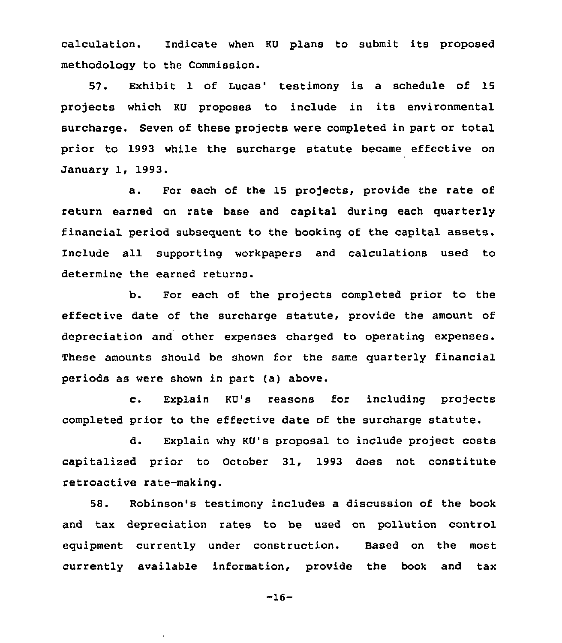calculation. Indicate when KU plans to submit its proposed methodology to the Commission.

57. Exhibit 1 of Lucas' testimony is a schedule of 15 projects which KU proposes to include in its environmental surcharge. Seven of these projects were completed in part or total prior to 1993 while the surcharge statute became effective on January 1, 1993.

a. For each of the 15 projects, provide the rate of return earned on rate base and capital during each quarterly financial period subsequent to the booking of the capital assets. Include all supporting workpapers and calculations used to determine the earned returns.

b. For each of the projects completed prior to the effective date of the surcharge statute, provide the amount of depreciation and other expenses charged to operating expenses. These amounts should be shown for the same quarterly financial periods as were shown in part (a) above.

c. Explain KU's reasons for including projects completed prior to the effective date of the surcharge statute.

d. Explain why KU's proposal to include project costs capitalized prior to October 31, 1993 does not constitute retroactive rate-making.

58. Robinson's testimony includes a discussion of the book and tax depreciation rates to be used on pollution control equipment currently under construction. Based on the most currently available information, provide the book and tax

-16-

 $\ddot{\phantom{a}}$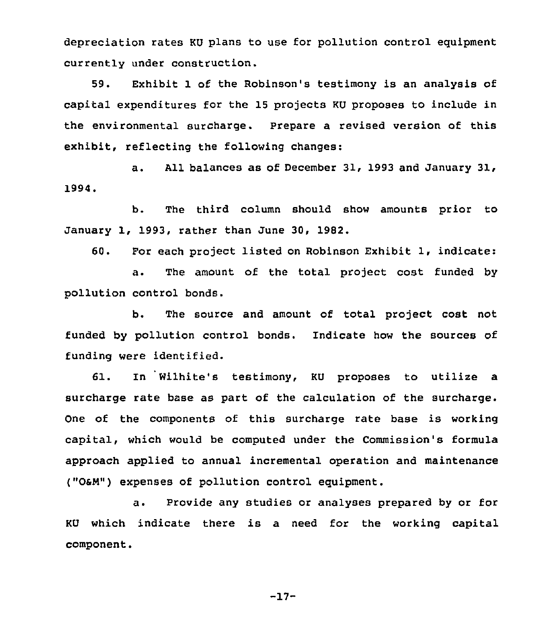depreciation rates KU plans to use for pollution control equipment currently under construction.

59. Exhibit 1 of the Robinson's testimony is an analysis of capital expenditures for the 15 projects KU proposes to include in the environmental surcharge. Prepare a revised version of this exhibit, reflecting the following changes:

a. All balances as of December 31, 1993 and January 31, 1994.

b. The third column should show amounts prior to January 1, 1993, rather than June 30, 1982.

60. For each project listed on Robinson Exhibit 1, indicate:

a. The amount of the total project cost funded by pollution control bonds.

b. The source and amount of total project cost not funded by pollution control bonds. Indicate how the sources of funding were identified.

61. In Wilhite's testimony, KU proposes to utilize a surcharge rate base as part of the calculation of the surcharge. One of the components of this surcharge rate base is working capital, which would be computed under the Commission's formula approach applied to annual incremental operation and maintenance ("OsN") expenses of pollution control equipment.

a. Provide any studies or analyses prepared by or for KU which indicate there is a need for the working capital component.

-17-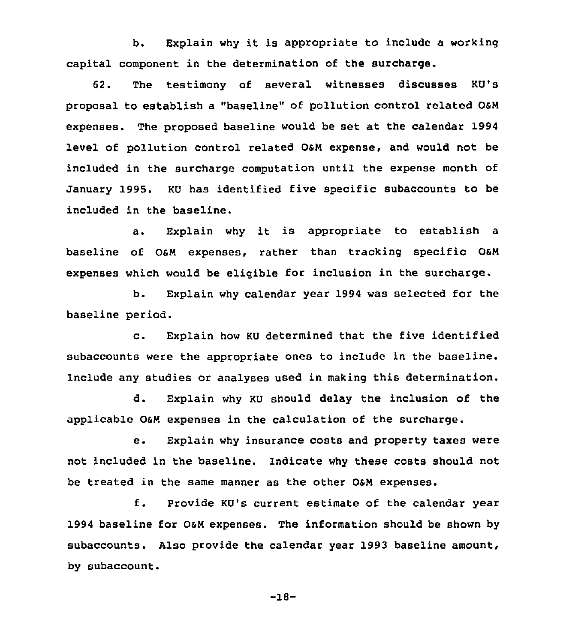b. Explain why it is appropriate to include a working capital component in the determination of the surcharge.

62. The testimony of several witnesses discusses KU's proposal to establish a "baseline" of pollution control related OsN expenses. The proposed baseline would be set at the calendar 1994 level of pollution control related OaN expense, and would not be included in the surcharge computation until the expense month of January 1995. KU has identified five specific subaccounts to be included in the baseline.

a. Explain why it is appropriate to establish <sup>a</sup> baseline of OsN expenses, rather than tracking specific OsN expenses which would be eligible for inclusion in the surcharge.

b. Explain why calendar year 1994 was selected for the baseline period.

c. Explain how KU determined that the five identified subaccounts were the appropriate ones to include in the baseline. Include any studies or analyses used in making this determination.

d. Explain why KU should delay the inclusion of the applicable O&M expenses in the calculation of the surcharge.

e. Explain why insurance costs and property taxes were not included in the baseline. Indicate why these costs should not be treated in the same manner as the other O&M expenses.

f. Provide KU's current estimate of the calendar year 1994 baseline for OsN expenses. The information should be shown by subaccounts. Also provide the calendar year 1993 baseline amount, by subaccount.

-18-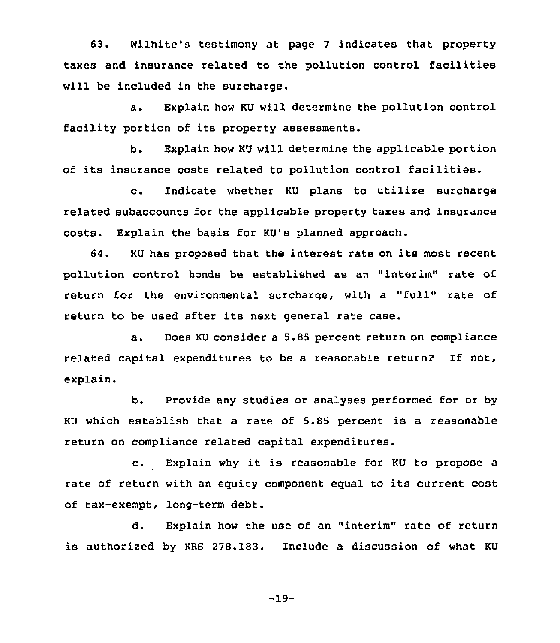63. Wilhite's testimony at page <sup>7</sup> indicates that property taxes and insurance related to the pollution control facilities will be included in the surcharge.

a. Explain how KU will determine the pollution control facility portion of its property assessments.

b. Explain how KU will determine the applicable portion of its insurance costs related to pollution control facilities.

c. Indicate whether KU plans to utilize surcharge related subaccounts for the applicable property taxes and insurance costs. Explain the basis for KU's planned approach.

64. KU has proposed that the interest rate on its most recent pollution control bonds be established as an "interim" rate of return for the environmental surcharge, with <sup>a</sup> "full" rate of return to be used after its next general rate case.

a. Does KU consider a 5.85 percent return on compliance related capital expenditures to be <sup>a</sup> reasonable return? If not, explain.

b. Provide any studies or analyses performed for or by KU which establish that a rate of 5.85 percent is a reasonable return on compliance related capital expenditures.

c. Explain why it is reasonable for KU to propose <sup>a</sup> rate of return with an equity component equal to its current cost of tax-exempt, long-term debt.

d. Explain how the use of an "interim" rate of return is authorized by KRS 278.183. Include a discussion of what KU

-19-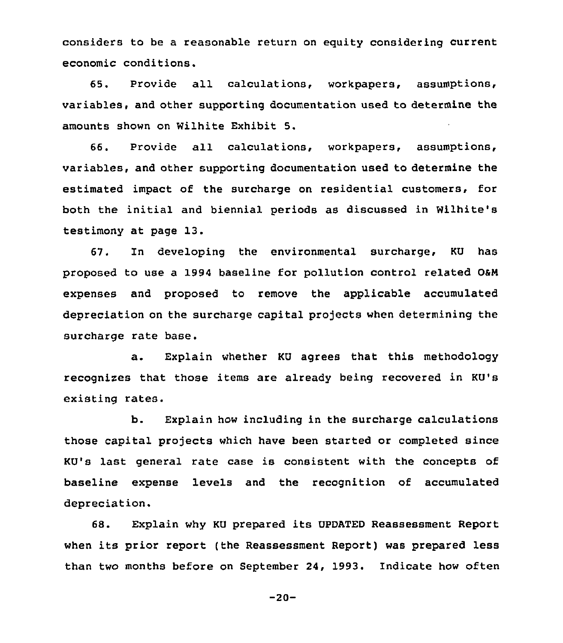considers to be a reasonable return on equity considering current economic conditions.

65. Provide all calculations, workpapers, assumptions, variables, and other supporting documentation used to determine the amounts shown on Wilhite Exhibit 5.

66. Provide all calculations, workpapers, and other supporting documentation used to determine the estimated impact of the surcharge on residential customers, for both the initial and biennial periods as discussed in Wilhite's testimony at page 13.

67. In developing the environmental surcharge, KU has proposed to use a 1994 baseline for pollution control related OaN expenses and proposed to remove the applicable accumulated depreciation on the surcharge capital projects when determining the surcharge rate base.

a. Explain whether KU agrees that this methodology recognixes that those items are already being recovered in KU's existing rates.

b. Explain how including in the surcharge calculations those capital projects which have been started or completed since KU's last general rate case is consistent with the concepts of baseline expense levels and the recognition of accumulated depreciation.

68. Explain why KU prepared its UPDATED Reassessment Report when its prior report (the Reassessment Report) was prepared less than two months before on September 24, 1993. Indicate how often

-20-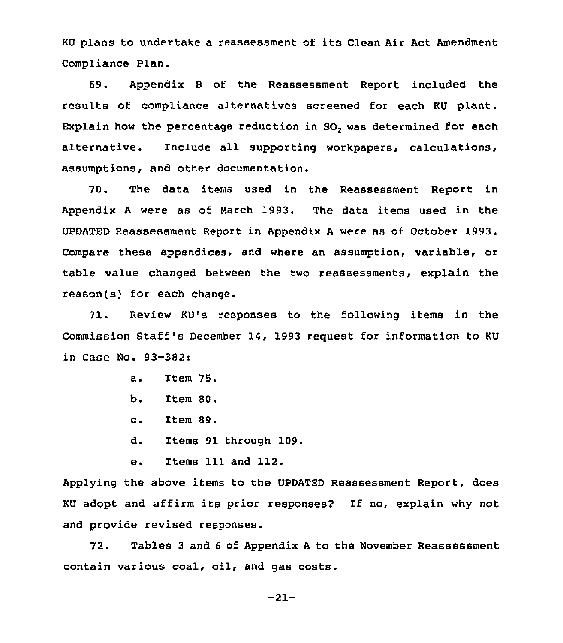KU plans to undertake <sup>a</sup> reassessment of its Clean Air Act Amendment Compliance Plan.

69. Appendix 8 of the Reassessment Report included the results of compliance alternatives screened for each KU plant. Explain how the percentage reduction in  $SO_2$  was determined for each alternative. Include all supporting workpapers, calculations, assumptions, and other documentation.

70. The data items used in the Reassessment Report in Appendix <sup>A</sup> were as of March 1993. The data items used in the UPDATED Reassessment Report in Appendix <sup>A</sup> were as of October 1993. Compare these appendices. and where an assumption, variable, or table value changed between the two reassessments, explain the reason(s) for each change.

71. Review KU's responses to the following items in the Commission Staff's December 14, 1993 request for information to KU in Case No. 93-382:

- a. Item 75.
- b. Item 80.
- c. Item 89.
- d. Items 91 through 109.
- e. Items 111 and 112.

Applying the above items to the UPDATED Reassessment Report, does KU adopt and affirm its prior responses? If no, explain why not and provide revised responses.

72. Tables 3 and <sup>6</sup> of Appendix <sup>A</sup> to the November Reassessment contain various coal, oil, and gas costs.

-21-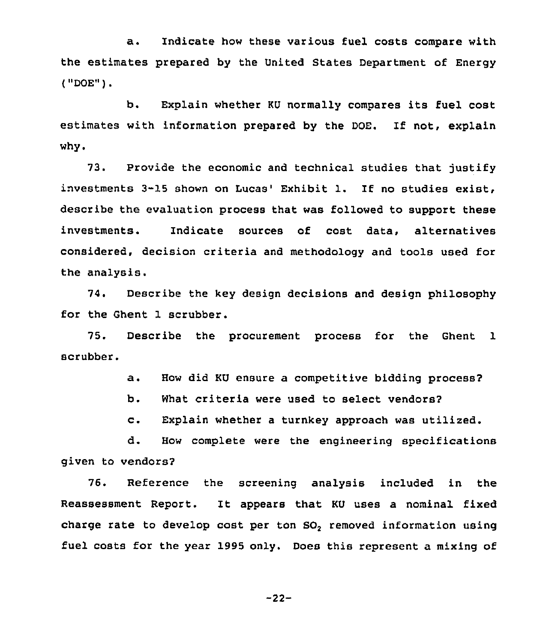a. Indicate how these various fuel costs compare with the estimates prepared by the United States Department of Energy ( "DOE" )

b. Explain whether KU normally compares its fuel cost estimates with information prepared by the DOE. If not, explain why.

73. Provide the economic and technical studies that justify investments  $3-15$  shown on Lucas' Exhibit 1. If no studies exist, describe the evaluation process that was followed to support these investments. Indicate sources of cost data, alternatives considered, decision criteria and methodology and tools used for the analysis.

74, Describe the key design decisions and design philosophy for the Ghent 1 scrubber.

75. Describe the procurement process for the Ghent 1 scrubber.

a. How did KU ensure <sup>a</sup> competitive bidding process?

b. What criteria were used to select vendors?

c. Explain whether <sup>a</sup> turnkey approach was utilized.

d. How complete were the engineering specifications given to vendors?

76. Reference the screening analysis included in the Reassessment Report. It appears that KU uses a nominal fixed charge rate to develop cost per ton SO<sub>2</sub> removed information using fuel costs for the year 1995 only. Does this represent a mixing of

 $-22-$